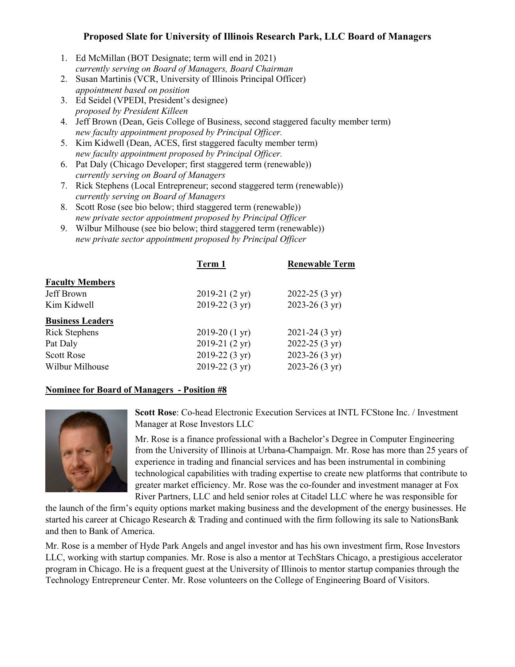## **Proposed Slate for University of Illinois Research Park, LLC Board of Managers**

- 1. Ed McMillan (BOT Designate; term will end in 2021) *currently serving on Board of Managers, Board Chairman*
- 2. Susan Martinis (VCR, University of Illinois Principal Officer) *appointment based on position*
- 3. Ed Seidel (VPEDI, President's designee) *proposed by President Killeen*
- 4. Jeff Brown (Dean, Geis College of Business, second staggered faculty member term) *new faculty appointment proposed by Principal Officer.*
- 5. Kim Kidwell (Dean, ACES, first staggered faculty member term) *new faculty appointment proposed by Principal Officer.*
- 6. Pat Daly (Chicago Developer; first staggered term (renewable)) *currently serving on Board of Managers*
- 7. Rick Stephens (Local Entrepreneur; second staggered term (renewable)) *currently serving on Board of Managers*
- 8. Scott Rose (see bio below; third staggered term (renewable)) *new private sector appointment proposed by Principal Officer*
- 9. Wilbur Milhouse (see bio below; third staggered term (renewable)) *new private sector appointment proposed by Principal Officer*

| Term 1                  | <b>Renewable Term</b>     |
|-------------------------|---------------------------|
|                         |                           |
| $2019-21(2 \text{ yr})$ | 2022-25 $(3 \text{ yr})$  |
| 2019-22 (3 yr)          | $2023 - 26(3 \text{ yr})$ |
|                         |                           |
| $2019-20(1 \text{ yr})$ | $2021 - 24(3 \text{ yr})$ |
| 2019-21 (2 yr)          | 2022-25 $(3 \text{ yr})$  |
| $2019-22(3 \text{ yr})$ | 2023-26 $(3 \text{ yr})$  |
| 2019-22 (3 yr)          | 2023-26 $(3 \text{ yr})$  |
|                         |                           |

## **Nominee for Board of Managers - Position #8**



**Scott Rose**: Co-head Electronic Execution Services at INTL FCStone Inc. / Investment Manager at Rose Investors LLC

Mr. Rose is a finance professional with a Bachelor's Degree in Computer Engineering from the University of Illinois at Urbana-Champaign. Mr. Rose has more than 25 years of experience in trading and financial services and has been instrumental in combining technological capabilities with trading expertise to create new platforms that contribute to greater market efficiency. Mr. Rose was the co-founder and investment manager at Fox River Partners, LLC and held senior roles at Citadel LLC where he was responsible for

the launch of the firm's equity options market making business and the development of the energy businesses. He started his career at Chicago Research & Trading and continued with the firm following its sale to NationsBank and then to Bank of America.

Mr. Rose is a member of Hyde Park Angels and angel investor and has his own investment firm, Rose Investors LLC, working with startup companies. Mr. Rose is also a mentor at TechStars Chicago, a prestigious accelerator program in Chicago. He is a frequent guest at the University of Illinois to mentor startup companies through the Technology Entrepreneur Center. Mr. Rose volunteers on the College of Engineering Board of Visitors.